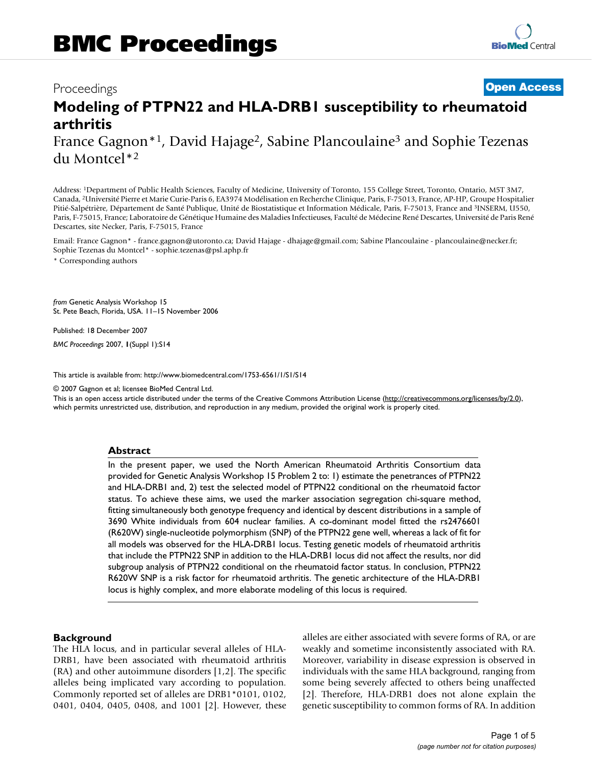# Proceedings **[Open Access](http://www.biomedcentral.com/info/about/charter/) Modeling of PTPN22 and HLA-DRB1 susceptibility to rheumatoid arthritis** France Gagnon<sup>\*1</sup>, David Hajage<sup>2</sup>, Sabine Plancoulaine<sup>3</sup> and Sophie Tezenas

du Montcel\*2

Address: 1Department of Public Health Sciences, Faculty of Medicine, University of Toronto, 155 College Street, Toronto, Ontario, M5T 3M7, Canada, 2Université Pierre et Marie Curie-Paris 6, EA3974 Modélisation en Recherche Clinique, Paris, F-75013, France, AP-HP, Groupe Hospitalier Pitié-Salpétrière, Département de Santé Publique, Unité de Biostatistique et Information Médicale, Paris, F-75013, France and 3INSERM, U550, Paris, F-75015, France; Laboratoire de Génétique Humaine des Maladies Infectieuses, Faculté de Médecine René Descartes, Université de Paris René Descartes, site Necker, Paris, F-75015, France

Email: France Gagnon\* - france.gagnon@utoronto.ca; David Hajage - dhajage@gmail.com; Sabine Plancoulaine - plancoulaine@necker.fr; Sophie Tezenas du Montcel\* - sophie.tezenas@psl.aphp.fr

\* Corresponding authors

*from* Genetic Analysis Workshop 15 St. Pete Beach, Florida, USA. 11–15 November 2006

Published: 18 December 2007

*BMC Proceedings* 2007, **1**(Suppl 1):S14

[This article is available from: http://www.biomedcentral.com/1753-6561/1/S1/S14](http://www.biomedcentral.com/1753-6561/1/S1/S14)

© 2007 Gagnon et al; licensee BioMed Central Ltd.

This is an open access article distributed under the terms of the Creative Commons Attribution License [\(http://creativecommons.org/licenses/by/2.0\)](http://creativecommons.org/licenses/by/2.0), which permits unrestricted use, distribution, and reproduction in any medium, provided the original work is properly cited.

#### **Abstract**

In the present paper, we used the North American Rheumatoid Arthritis Consortium data provided for Genetic Analysis Workshop 15 Problem 2 to: 1) estimate the penetrances of PTPN22 and HLA-DRB1 and, 2) test the selected model of PTPN22 conditional on the rheumatoid factor status. To achieve these aims, we used the marker association segregation chi-square method, fitting simultaneously both genotype frequency and identical by descent distributions in a sample of 3690 White individuals from 604 nuclear families. A co-dominant model fitted the rs2476601 (R620W) single-nucleotide polymorphism (SNP) of the PTPN22 gene well, whereas a lack of fit for all models was observed for the HLA-DRB1 locus. Testing genetic models of rheumatoid arthritis that include the PTPN22 SNP in addition to the HLA-DRB1 locus did not affect the results, nor did subgroup analysis of PTPN22 conditional on the rheumatoid factor status. In conclusion, PTPN22 R620W SNP is a risk factor for rheumatoid arthritis. The genetic architecture of the HLA-DRB1 locus is highly complex, and more elaborate modeling of this locus is required.

#### **Background**

The HLA locus, and in particular several alleles of HLA-DRB1, have been associated with rheumatoid arthritis (RA) and other autoimmune disorders [1,2]. The specific alleles being implicated vary according to population. Commonly reported set of alleles are DRB1\*0101, 0102, 0401, 0404, 0405, 0408, and 1001 [2]. However, these alleles are either associated with severe forms of RA, or are weakly and sometime inconsistently associated with RA. Moreover, variability in disease expression is observed in individuals with the same HLA background, ranging from some being severely affected to others being unaffected [2]. Therefore, HLA-DRB1 does not alone explain the genetic susceptibility to common forms of RA. In addition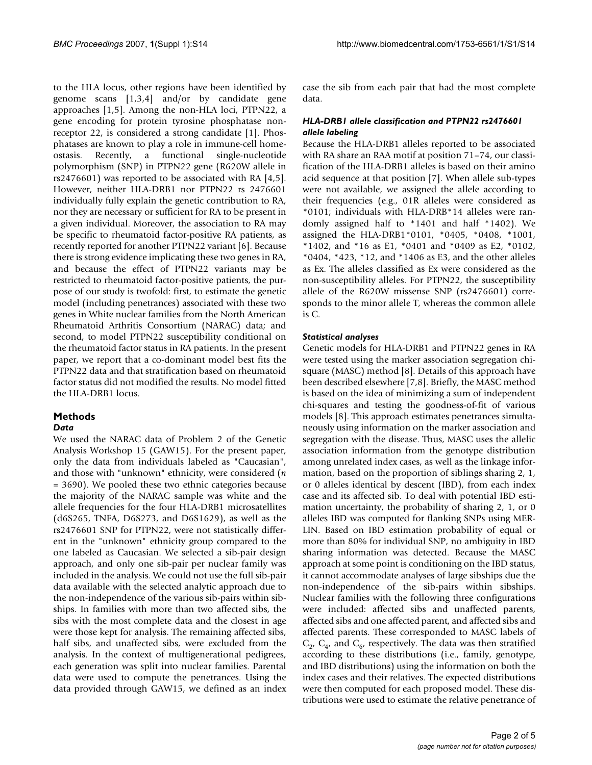to the HLA locus, other regions have been identified by genome scans [1,3,4] and/or by candidate gene approaches [1,5]. Among the non-HLA loci, PTPN22, a gene encoding for protein tyrosine phosphatase nonreceptor 22, is considered a strong candidate [1]. Phosphatases are known to play a role in immune-cell homeostasis. Recently, a functional single-nucleotide polymorphism (SNP) in PTPN22 gene (R620W allele in rs2476601) was reported to be associated with RA [4,5]. However, neither HLA-DRB1 nor PTPN22 rs 2476601 individually fully explain the genetic contribution to RA, nor they are necessary or sufficient for RA to be present in a given individual. Moreover, the association to RA may be specific to rheumatoid factor-positive RA patients, as recently reported for another PTPN22 variant [6]. Because there is strong evidence implicating these two genes in RA, and because the effect of PTPN22 variants may be restricted to rheumatoid factor-positive patients, the purpose of our study is twofold: first, to estimate the genetic model (including penetrances) associated with these two genes in White nuclear families from the North American Rheumatoid Arthritis Consortium (NARAC) data; and second, to model PTPN22 susceptibility conditional on the rheumatoid factor status in RA patients. In the present paper, we report that a co-dominant model best fits the PTPN22 data and that stratification based on rheumatoid factor status did not modified the results. No model fitted the HLA-DRB1 locus.

## **Methods**

#### *Data*

We used the NARAC data of Problem 2 of the Genetic Analysis Workshop 15 (GAW15). For the present paper, only the data from individuals labeled as "Caucasian", and those with "unknown" ethnicity, were considered (*n* = 3690). We pooled these two ethnic categories because the majority of the NARAC sample was white and the allele frequencies for the four HLA-DRB1 microsatellites (d6S265, TNFA, D6S273, and D6S1629), as well as the rs2476601 SNP for PTPN22, were not statistically different in the "unknown" ethnicity group compared to the one labeled as Caucasian. We selected a sib-pair design approach, and only one sib-pair per nuclear family was included in the analysis. We could not use the full sib-pair data available with the selected analytic approach due to the non-independence of the various sib-pairs within sibships. In families with more than two affected sibs, the sibs with the most complete data and the closest in age were those kept for analysis. The remaining affected sibs, half sibs, and unaffected sibs, were excluded from the analysis. In the context of multigenerational pedigrees, each generation was split into nuclear families. Parental data were used to compute the penetrances. Using the data provided through GAW15, we defined as an index case the sib from each pair that had the most complete data.

#### *HLA-DRB1 allele classification and PTPN22 rs2476601 allele labeling*

Because the HLA-DRB1 alleles reported to be associated with RA share an RAA motif at position 71–74, our classification of the HLA-DRB1 alleles is based on their amino acid sequence at that position [7]. When allele sub-types were not available, we assigned the allele according to their frequencies (e.g., 01R alleles were considered as \*0101; individuals with HLA-DRB\*14 alleles were randomly assigned half to \*1401 and half \*1402). We assigned the HLA-DRB1\*0101, \*0405, \*0408, \*1001, \*1402, and \*16 as E1, \*0401 and \*0409 as E2, \*0102, \*0404, \*423, \*12, and \*1406 as E3, and the other alleles as Ex. The alleles classified as Ex were considered as the non-susceptibility alleles. For PTPN22, the susceptibility allele of the R620W missense SNP (rs2476601) corresponds to the minor allele T, whereas the common allele is C.

#### *Statistical analyses*

Genetic models for HLA-DRB1 and PTPN22 genes in RA were tested using the marker association segregation chisquare (MASC) method [8]. Details of this approach have been described elsewhere [7,8]. Briefly, the MASC method is based on the idea of minimizing a sum of independent chi-squares and testing the goodness-of-fit of various models [8]. This approach estimates penetrances simultaneously using information on the marker association and segregation with the disease. Thus, MASC uses the allelic association information from the genotype distribution among unrelated index cases, as well as the linkage information, based on the proportion of siblings sharing 2, 1, or 0 alleles identical by descent (IBD), from each index case and its affected sib. To deal with potential IBD estimation uncertainty, the probability of sharing 2, 1, or 0 alleles IBD was computed for flanking SNPs using MER-LIN. Based on IBD estimation probability of equal or more than 80% for individual SNP, no ambiguity in IBD sharing information was detected. Because the MASC approach at some point is conditioning on the IBD status, it cannot accommodate analyses of large sibships due the non-independence of the sib-pairs within sibships. Nuclear families with the following three configurations were included: affected sibs and unaffected parents, affected sibs and one affected parent, and affected sibs and affected parents. These corresponded to MASC labels of  $C_2$ ,  $C_4$ , and  $C_6$ , respectively. The data was then stratified according to these distributions (i.e., family, genotype, and IBD distributions) using the information on both the index cases and their relatives. The expected distributions were then computed for each proposed model. These distributions were used to estimate the relative penetrance of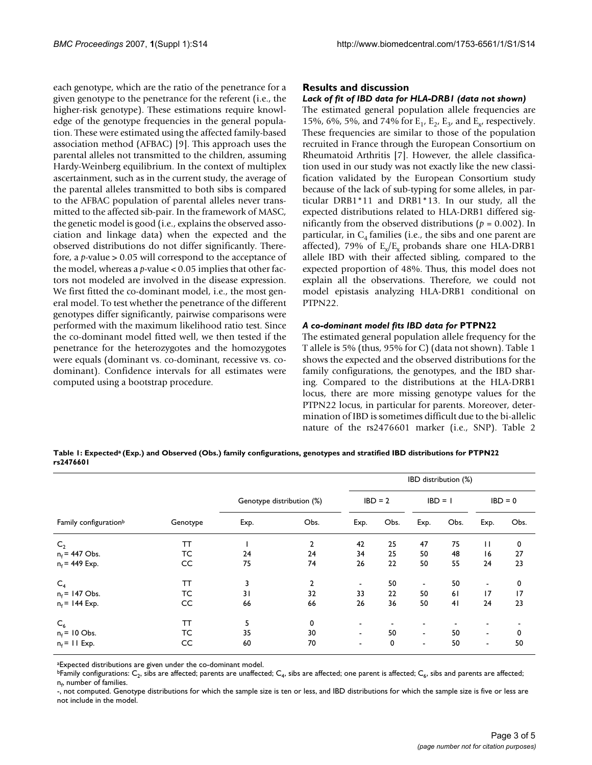each genotype, which are the ratio of the penetrance for a given genotype to the penetrance for the referent (i.e., the higher-risk genotype). These estimations require knowledge of the genotype frequencies in the general population. These were estimated using the affected family-based association method (AFBAC) [9]. This approach uses the parental alleles not transmitted to the children, assuming Hardy-Weinberg equilibrium. In the context of multiplex ascertainment, such as in the current study, the average of the parental alleles transmitted to both sibs is compared to the AFBAC population of parental alleles never transmitted to the affected sib-pair. In the framework of MASC, the genetic model is good (i.e., explains the observed association and linkage data) when the expected and the observed distributions do not differ significantly. Therefore, a *p*-value > 0.05 will correspond to the acceptance of the model, whereas a *p*-value < 0.05 implies that other factors not modeled are involved in the disease expression. We first fitted the co-dominant model, i.e., the most general model. To test whether the penetrance of the different genotypes differ significantly, pairwise comparisons were performed with the maximum likelihood ratio test. Since the co-dominant model fitted well, we then tested if the penetrance for the heterozygotes and the homozygotes were equals (dominant vs. co-dominant, recessive vs. codominant). Confidence intervals for all estimates were computed using a bootstrap procedure.

### **Results and discussion**

#### *Lack of fit of IBD data for HLA-DRB1 (data not shown)*

The estimated general population allele frequencies are 15%, 6%, 5%, and 74% for  $E_1$ ,  $E_2$ ,  $E_3$ , and  $E_{1}$ , respectively. These frequencies are similar to those of the population recruited in France through the European Consortium on Rheumatoid Arthritis [7]. However, the allele classification used in our study was not exactly like the new classification validated by the European Consortium study because of the lack of sub-typing for some alleles, in particular DRB1\*11 and DRB1\*13. In our study, all the expected distributions related to HLA-DRB1 differed significantly from the observed distributions (*p* = 0.002). In particular, in  $C_4$  families (i.e., the sibs and one parent are affected), 79% of  $E_x/E_x$  probands share one HLA-DRB1 allele IBD with their affected sibling, compared to the expected proportion of 48%. Thus, this model does not explain all the observations. Therefore, we could not model epistasis analyzing HLA-DRB1 conditional on PTPN22.

#### *A co-dominant model fits IBD data for* **PTPN22**

The estimated general population allele frequency for the T allele is 5% (thus, 95% for C) (data not shown). Table 1 shows the expected and the observed distributions for the family configurations, the genotypes, and the IBD sharing. Compared to the distributions at the HLA-DRB1 locus, there are more missing genotype values for the PTPN22 locus, in particular for parents. Moreover, determination of IBD is sometimes difficult due to the bi-allelic nature of the rs2476601 marker (i.e., SNP). Table 2

**Table 1: Expecteda (Exp.) and Observed (Obs.) family configurations, genotypes and stratified IBD distributions for PTPN22 rs2476601**

|                                   |          |      |                           | IBD distribution (%) |           |                          |           |                          |           |
|-----------------------------------|----------|------|---------------------------|----------------------|-----------|--------------------------|-----------|--------------------------|-----------|
|                                   |          |      | Genotype distribution (%) |                      | $IBD = 2$ |                          | $IBD = 1$ |                          | $IBD = 0$ |
| Family configuration <sup>b</sup> | Genotype | Exp. | Obs.                      | Exp.                 | Obs.      | Exp.                     | Obs.      | Exp.                     | Obs.      |
| C <sub>2</sub>                    | ТT       |      | 2                         | 42                   | 25        | 47                       | 75        | П                        | 0         |
| $n_f$ = 447 Obs.                  | TC       | 24   | 24                        | 34                   | 25        | 50                       | 48        | 16                       | 27        |
| $n_f$ = 449 Exp.                  | CC       | 75   | 74                        | 26                   | 22        | 50                       | 55        | 24                       | 23        |
| $C_4$                             | ТT       | 3    | 2                         | ۰                    | 50        | $\blacksquare$           | 50        | $\blacksquare$           | 0         |
| $n_f$ = 147 Obs.                  | TC       | 31   | 32                        | 33                   | 22        | 50                       | 61        | 17                       | 17        |
| $n_f$ = 144 Exp.                  | CC       | 66   | 66                        | 26                   | 36        | 50                       | 41        | 24                       | 23        |
| $C_6$                             | ТT       | 5    | 0                         | ۰                    |           | $\overline{\phantom{a}}$ |           |                          |           |
| $n_f$ = 10 Obs.                   | тс       | 35   | 30                        | $\blacksquare$       | 50        | $\sim$                   | 50        | $\overline{\phantom{0}}$ | 0         |
| $n_f$ = 11 Exp.                   | CC       | 60   | 70                        | ٠                    | 0         | $\blacksquare$           | 50        | $\blacksquare$           | 50        |

aExpected distributions are given under the co-dominant model.

<sup>b</sup>Family configurations:  $C_2$ , sibs are affected; parents are unaffected;  $C_4$ , sibs are affected; one parent is affected;  $C_6$ , sibs and parents are affected;  $\mathsf{n}_\mathsf{f}$ , number of families.

-, not computed. Genotype distributions for which the sample size is ten or less, and IBD distributions for which the sample size is five or less are not include in the model.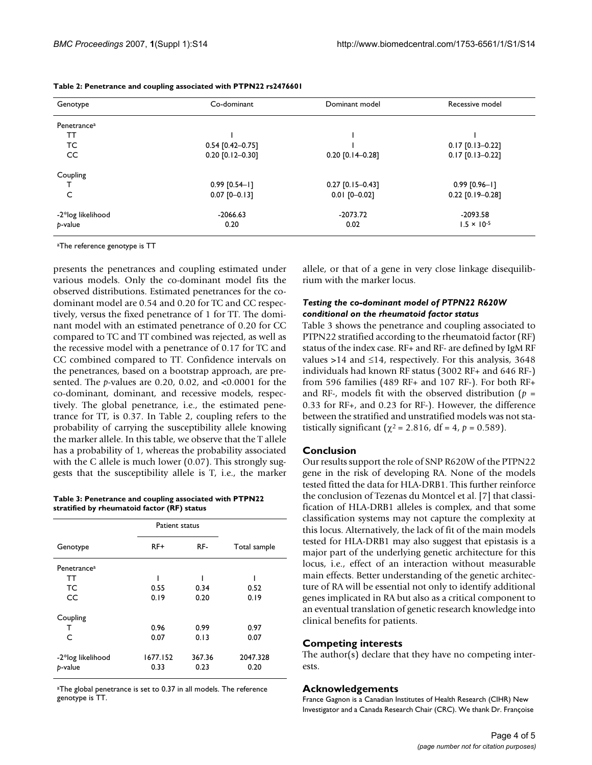| Genotype                | Co-dominant        | Dominant model     | Recessive model      |  |
|-------------------------|--------------------|--------------------|----------------------|--|
| Penetrance <sup>a</sup> |                    |                    |                      |  |
| TΤ                      |                    |                    |                      |  |
| TC                      | $0.54$ [0.42-0.75] |                    | $0.17$ [0.13-0.22]   |  |
| CC.                     | $0.20$ [0.12-0.30] | $0.20$ [0.14-0.28] | $0.17$ [0.13-0.22]   |  |
| Coupling                |                    |                    |                      |  |
|                         | $0.99$ [0.54-1]    | $0.27$ [0.15-0.43] | $0.99$ [0.96-1]      |  |
| C                       | $0.07$ [0-0.13]    | $0.01$ [0-0.02]    | $0.22$ [0.19-0.28]   |  |
| -2*log likelihood       | $-2066.63$         | $-2073.72$         | -2093.58             |  |
| p-value                 | 0.20               | 0.02               | $1.5 \times 10^{-5}$ |  |

#### **Table 2: Penetrance and coupling associated with PTPN22 rs2476601**

aThe reference genotype is TT

presents the penetrances and coupling estimated under various models. Only the co-dominant model fits the observed distributions. Estimated penetrances for the codominant model are 0.54 and 0.20 for TC and CC respectively, versus the fixed penetrance of 1 for TT. The dominant model with an estimated penetrance of 0.20 for CC compared to TC and TT combined was rejected, as well as the recessive model with a penetrance of 0.17 for TC and CC combined compared to TT. Confidence intervals on the penetrances, based on a bootstrap approach, are presented. The *p*-values are 0.20, 0.02, and <0.0001 for the co-dominant, dominant, and recessive models, respectively. The global penetrance, i.e., the estimated penetrance for TT, is 0.37. In Table 2, coupling refers to the probability of carrying the susceptibility allele knowing the marker allele. In this table, we observe that the T allele has a probability of 1, whereas the probability associated with the C allele is much lower (0.07). This strongly suggests that the susceptibility allele is T, i.e., the marker

**Table 3: Penetrance and coupling associated with PTPN22 stratified by rheumatoid factor (RF) status**

|                         | Patient status |        |              |  |
|-------------------------|----------------|--------|--------------|--|
| Genotype                | RF+            | RF-    | Total sample |  |
| Penetrance <sup>a</sup> |                |        |              |  |
| TT                      |                |        |              |  |
| ТC                      | 0.55           | 0.34   | 0.52         |  |
| CC                      | 0.19           | 0.20   | 0.19         |  |
| Coupling                |                |        |              |  |
| т                       | 0.96           | 0.99   | 0.97         |  |
| C                       | 0.07           | 0.13   | 0.07         |  |
| -2*log likelihood       | 1677.152       | 367.36 | 2047.328     |  |
| p-value                 | 0.33           | 0.23   | 0.20         |  |

aThe global penetrance is set to 0.37 in all models. The reference genotype is TT.

allele, or that of a gene in very close linkage disequilibrium with the marker locus.

#### *Testing the co-dominant model of PTPN22 R620W conditional on the rheumatoid factor status*

Table 3 shows the penetrance and coupling associated to PTPN22 stratified according to the rheumatoid factor (RF) status of the index case. RF+ and RF- are defined by IgM RF values >14 and ≤14, respectively. For this analysis, 3648 individuals had known RF status (3002 RF+ and 646 RF-) from 596 families (489 RF+ and 107 RF-). For both RF+ and RF-, models fit with the observed distribution (*p* = 0.33 for RF+, and 0.23 for RF-). However, the difference between the stratified and unstratified models was not statistically significant ( $\chi^2$  = 2.816, df = 4,  $p$  = 0.589).

#### **Conclusion**

Our results support the role of SNP R620W of the PTPN22 gene in the risk of developing RA. None of the models tested fitted the data for HLA-DRB1. This further reinforce the conclusion of Tezenas du Montcel et al. [7] that classification of HLA-DRB1 alleles is complex, and that some classification systems may not capture the complexity at this locus. Alternatively, the lack of fit of the main models tested for HLA-DRB1 may also suggest that epistasis is a major part of the underlying genetic architecture for this locus, i.e., effect of an interaction without measurable main effects. Better understanding of the genetic architecture of RA will be essential not only to identify additional genes implicated in RA but also as a critical component to an eventual translation of genetic research knowledge into clinical benefits for patients.

#### **Competing interests**

The author(s) declare that they have no competing interests.

#### **Acknowledgements**

France Gagnon is a Canadian Institutes of Health Research (CIHR) New Investigator and a Canada Research Chair (CRC). We thank Dr. Françoise